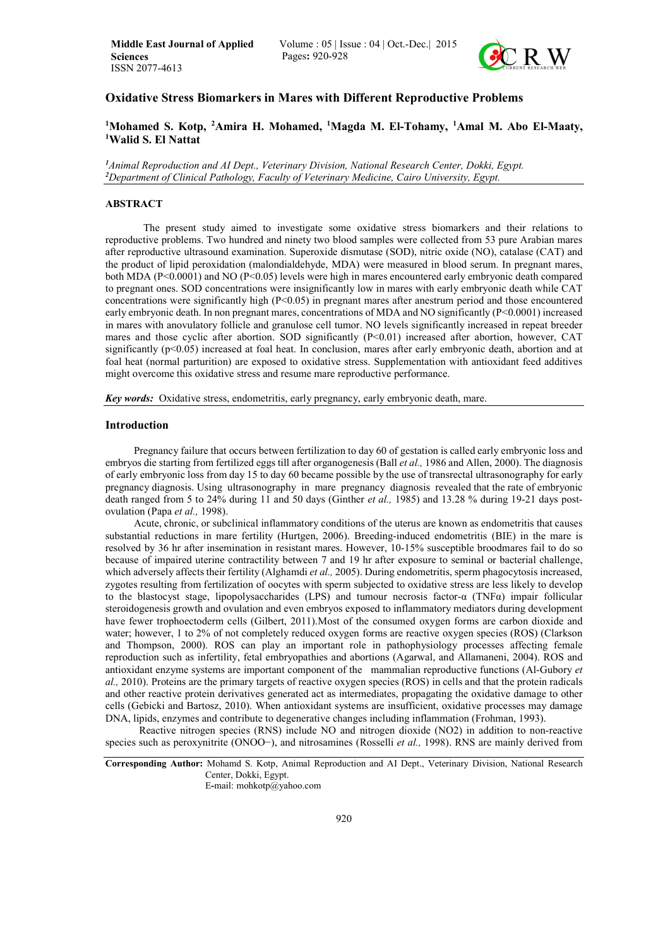

# Oxidative Stress Biomarkers in Mares with Different Reproductive Problems

# <sup>1</sup>Mohamed S. Kotp, <sup>2</sup>Amira H. Mohamed, <sup>1</sup>Magda M. El-Tohamy, <sup>1</sup>Amal M. Abo El-Maaty,<br><sup>1</sup>Walid S. El Nattat Walid S. El Nattat

*1 Animal Reproduction and AI Dept., Veterinary Division, National Research Center, Dokki, Egypt. 2 Department of Clinical Pathology, Faculty of Veterinary Medicine, Cairo University, Egypt.*

## ABSTRACT

The present study aimed to investigate some oxidative stress biomarkers and their relations to reproductive problems. Two hundred and ninety two blood samples were collected from 53 pure Arabian mares after reproductive ultrasound examination. Superoxide dismutase (SOD), nitric oxide (NO), catalase (CAT) and the product of lipid peroxidation (malondialdehyde, MDA) were measured in blood serum. In pregnant mares, both MDA (P<0.0001) and NO (P<0.05) levels were high in mares encountered early embryonic death compared to pregnant ones. SOD concentrations were insignificantly low in mares with early embryonic death while CAT concentrations were significantly high (P<0.05) in pregnant mares after anestrum period and those encountered early embryonic death. In non pregnant mares, concentrations of MDA and NO significantly (P<0.0001) increased in mares with anovulatory follicle and granulose cell tumor. NO levels significantly increased in repeat breeder mares and those cyclic after abortion. SOD significantly (P<0.01) increased after abortion, however, CAT significantly  $(p<0.05)$  increased at foal heat. In conclusion, mares after early embryonic death, abortion and at foal heat (normal parturition) are exposed to oxidative stress. Supplementation with antioxidant feed additives might overcome this oxidative stress and resume mare reproductive performance.

*Key words:* Oxidative stress, endometritis, early pregnancy, early embryonic death, mare.

### Introduction

Pregnancy failure that occurs between fertilization to day 60 of gestation is called early embryonic loss and embryos die starting from fertilized eggs till after organogenesis (Ball *et al.,* 1986 and Allen, 2000). The diagnosis of early embryonic loss from day 15 to day 60 became possible by the use of transrectal ultrasonography for early pregnancy diagnosis. Using ultrasonography in mare pregnancy diagnosis revealed that the rate of embryonic death ranged from 5 to 24% during 11 and 50 days (Ginther *et al.,* 1985) and 13.28 % during 19-21 days postovulation (Papa *et al.,* 1998).

Acute, chronic, or subclinical inflammatory conditions of the uterus are known as endometritis that causes substantial reductions in mare fertility (Hurtgen, 2006). Breeding-induced endometritis (BIE) in the mare is resolved by 36 hr after insemination in resistant mares. However, 10-15% susceptible broodmares fail to do so because of impaired uterine contractility between 7 and 19 hr after exposure to seminal or bacterial challenge, which adversely affects their fertility (Alghamdi *et al.*, 2005). During endometritis, sperm phagocytosis increased, zygotes resulting from fertilization of oocytes with sperm subjected to oxidative stress are less likely to develop to the blastocyst stage, lipopolysaccharides (LPS) and tumour necrosis factor-α (TNFα) impair follicular steroidogenesis growth and ovulation and even embryos exposed to inflammatory mediators during development have fewer trophoectoderm cells (Gilbert, 2011).Most of the consumed oxygen forms are carbon dioxide and water; however, 1 to 2% of not completely reduced oxygen forms are reactive oxygen species (ROS) (Clarkson and Thompson, 2000). ROS can play an important role in pathophysiology processes affecting female reproduction such as infertility, fetal embryopathies and abortions (Agarwal, and Allamaneni, 2004). ROS and antioxidant enzyme systems are important component of the mammalian reproductive functions (Al-Gubory *et al.,* 2010). Proteins are the primary targets of reactive oxygen species (ROS) in cells and that the protein radicals and other reactive protein derivatives generated act as intermediates, propagating the oxidative damage to other cells (Gebicki and Bartosz, 2010). When antioxidant systems are insufficient, oxidative processes may damage DNA, lipids, enzymes and contribute to degenerative changes including inflammation (Frohman, 1993).

 Reactive nitrogen species (RNS) include NO and nitrogen dioxide (NO2) in addition to non-reactive species such as peroxynitrite (ONOO−), and nitrosamines (Rosselli *et al.,* 1998). RNS are mainly derived from

E-mail: mohkotp@yahoo.com

Corresponding Author: Mohamd S. Kotp, Animal Reproduction and AI Dept., Veterinary Division, National Research Center, Dokki, Egypt.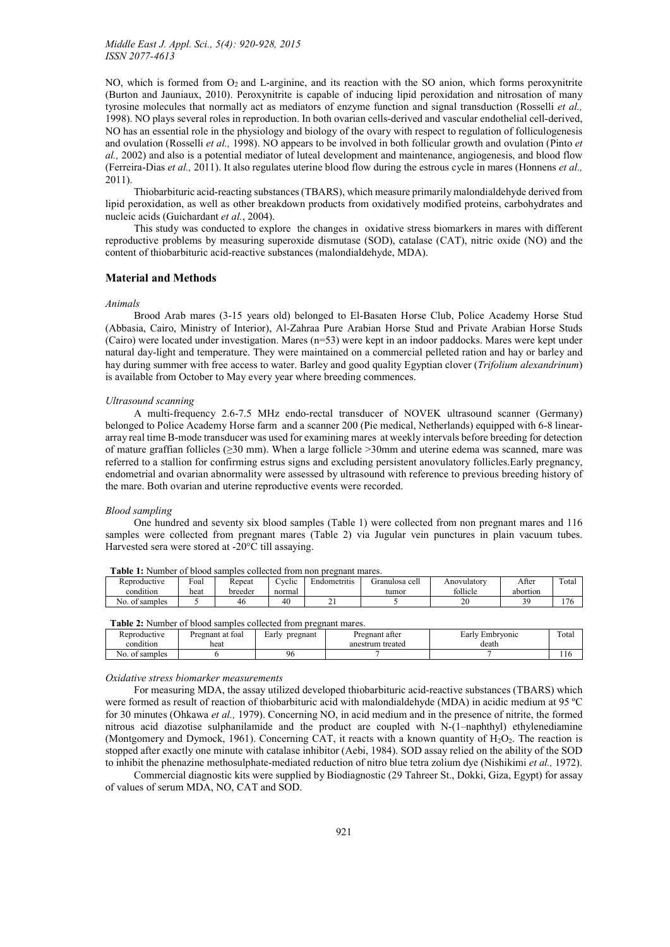NO, which is formed from  $O_2$  and L-arginine, and its reaction with the SO anion, which forms peroxynitrite (Burton and Jauniaux, 2010). Peroxynitrite is capable of inducing lipid peroxidation and nitrosation of many tyrosine molecules that normally act as mediators of enzyme function and signal transduction (Rosselli *et al.,* 1998). NO plays several roles in reproduction. In both ovarian cells-derived and vascular endothelial cell-derived, NO has an essential role in the physiology and biology of the ovary with respect to regulation of folliculogenesis and ovulation (Rosselli *et al.,* 1998). NO appears to be involved in both follicular growth and ovulation (Pinto *et al.,* 2002) and also is a potential mediator of luteal development and maintenance, angiogenesis, and blood flow (Ferreira-Dias *et al.,* 2011). It also regulates uterine blood flow during the estrous cycle in mares (Honnens *et al.,* 2011).

Thiobarbituric acid-reacting substances (TBARS), which measure primarily malondialdehyde derived from lipid peroxidation, as well as other breakdown products from oxidatively modified proteins, carbohydrates and nucleic acids (Guichardant *et al.*, 2004).

T[his study was conducted to](http://humrep.oxfordjournals.org/content/20/7/2014.long) explore the changes in oxidative stress biomarkers in mares with different reproductive problems by measuring superoxide dismutase (SOD), catalase (CAT), nitric oxide (NO) and the content of thiobarbituric acid-reactive substances (malondialdehyde, MDA).

# Material and Methods

#### *Animals*

Brood Arab mares (3-15 years old) belonged to El-Basaten Horse Club, Police Academy Horse Stud (Abbasia, Cairo, Ministry of Interior), Al-Zahraa Pure Arabian Horse Stud and Private Arabian Horse Studs (Cairo) were located under investigation. Mares (n=53) were kept in an indoor paddocks. Mares were kept under natural day-light and temperature. They were maintained on a commercial pelleted ration and hay or barley and hay during summer with free access to water. Barley and good quality Egyptian clover (*Trifolium alexandrinum*) is available from October to May every year where breeding commences.

#### *Ultrasound scanning*

A multi-frequency 2.6-7.5 MHz endo-rectal transducer of NOVEK ultrasound scanner (Germany) belonged to Police Academy Horse farm and a scanner 200 (Pie medical, Netherlands) equipped with 6-8 lineararray real time B-mode transducer was used for examining mares at weekly intervals before breeding for detection of mature graffian follicles ( $\geq$ 30 mm). When a large follicle  $>$ 30mm and uterine edema was scanned, mare was referred to a stallion for confirming estrus signs and excluding persistent anovulatory follicles.Early pregnancy, endometrial and ovarian abnormality were assessed by ultrasound with reference to previous breeding history of the mare. Both ovarian and uterine reproductive events were recorded.

### *Blood sampling*

One hundred and seventy six blood samples (Table 1) were collected from non pregnant mares and 116 samples were collected from pregnant mares (Table 2) via Jugular vein punctures in plain vacuum tubes. Harvested sera were stored at -20°C till assaying.

| --------- |                      |                      |         | --------------------- |                                   |                                |              |          |        |
|-----------|----------------------|----------------------|---------|-----------------------|-----------------------------------|--------------------------------|--------------|----------|--------|
|           | Reproductive         | $\mathbf{r}$<br>Foar | Repeat  | $\cdots$<br>`vclic    | $\cdot$ . $\cdot$<br>Endometritis | $\mathbf{1}$<br>Granulosa cell | Anovulatory  | After    | Total  |
|           | condition            | heat                 | breeder | normal                |                                   | tumor                          | follicle     | abortion |        |
|           | No.<br>samples<br>Οİ |                      | 46      | 40                    | <u>.</u>                          |                                | $\sim$<br>ZU | n o      | $\sim$ |

|  | Table 1: Number of blood samples collected from non pregnant mares. |  |  |  |  |
|--|---------------------------------------------------------------------|--|--|--|--|
|  |                                                                     |  |  |  |  |

| Table 2: Number of blood samples collected from pregnant mares. |  |  |
|-----------------------------------------------------------------|--|--|
|-----------------------------------------------------------------|--|--|

| .<br>.<br>.    |                  |                   |                  |                 |       |  |  |  |  |
|----------------|------------------|-------------------|------------------|-----------------|-------|--|--|--|--|
| Reproductive   | Pregnant at foal | Early<br>pregnant | Pregnant after   | Early Embryonic | Total |  |  |  |  |
| condition      | heat             |                   | anestrum treated | death           |       |  |  |  |  |
| No. of samples |                  | 96                |                  |                 | 1 I V |  |  |  |  |

#### *Oxidative stress biomarker measurements*

For measuring MDA, the assay utilized developed thiobarbituric acid-reactive substances (TBARS) which were formed as result of reaction of thiobarbituric acid with malondialdehyde (MDA) in acidic medium at 95 ºC for 30 minutes (Ohkawa *et al.,* 1979). Concerning NO, in acid medium and in the presence of nitrite, the formed nitrous acid diazotise sulphanilamide and the product are coupled with N-(1–naphthyl) ethylenediamine (Montgomery and Dymock, 1961). Concerning CAT, it reacts with a known quantity of  $H_2O_2$ . The reaction is stopped after exactly one minute with catalase inhibitor (Aebi, 1984). SOD assay relied on the ability of the SOD to inhibit the phenazine methosulphate-mediated reduction of nitro blue tetra zolium dye (Nishikimi *et al.,* 1972).

Commercial diagnostic kits were supplied by Biodiagnostic (29 Tahreer St., Dokki, Giza, Egypt) for assay of values of serum MDA, NO, CAT and SOD.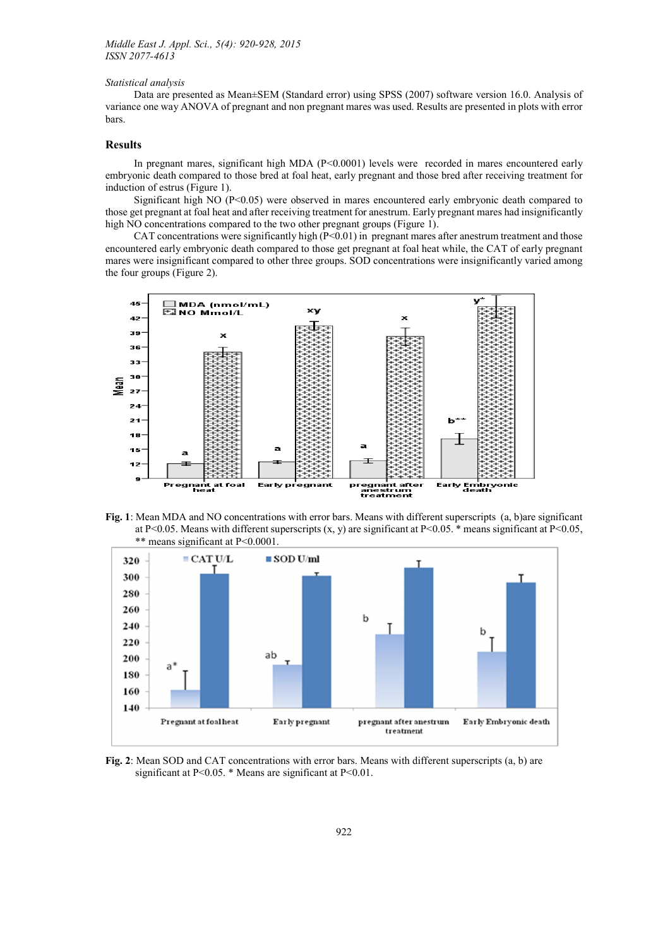### *Statistical analysis*

Data are presented as Mean±SEM (Standard error) using SPSS (2007) software version 16.0. Analysis of variance one way ANOVA of pregnant and non pregnant mares was used. Results are presented in plots with error bars.

# Results

In pregnant mares, significant high MDA  $(P<0.0001)$  levels were recorded in mares encountered early embryonic death compared to those bred at foal heat, early pregnant and those bred after receiving treatment for induction of estrus (Figure 1).

Significant high NO (P<0.05) were observed in mares encountered early embryonic death compared to those get pregnant at foal heat and after receiving treatment for anestrum. Early pregnant mares had insignificantly high NO concentrations compared to the two other pregnant groups (Figure 1).

CAT concentrations were significantly high  $(P<0.01)$  in pregnant mares after anestrum treatment and those encountered early embryonic death compared to those get pregnant at foal heat while, the CAT of early pregnant mares were insignificant compared to other three groups. SOD concentrations were insignificantly varied among the four groups (Figure 2).



Fig. 1: Mean MDA and NO concentrations with error bars. Means with different superscripts (a, b)are significant at P<0.05. Means with different superscripts  $(x, y)$  are significant at P<0.05. \* means significant at P<0.05, \*\* means significant at P<0.0001.



Fig. 2: Mean SOD and CAT concentrations with error bars. Means with different superscripts (a, b) are significant at P<0.05. \* Means are significant at P<0.01.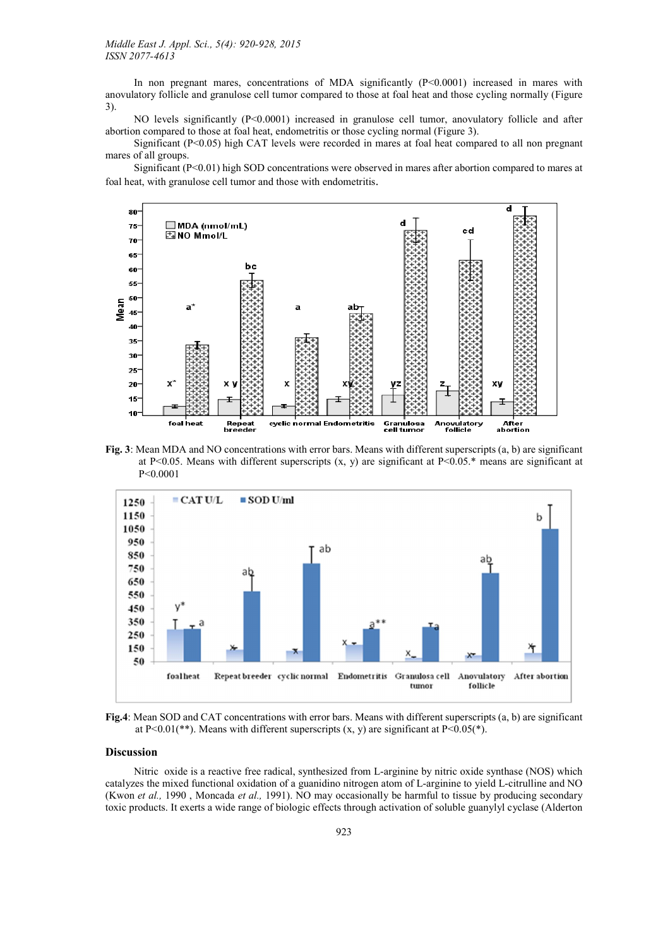In non pregnant mares, concentrations of MDA significantly  $(P<0.0001)$  increased in mares with anovulatory follicle and granulose cell tumor compared to those at foal heat and those cycling normally (Figure 3).

NO levels significantly (P<0.0001) increased in granulose cell tumor, anovulatory follicle and after abortion compared to those at foal heat, endometritis or those cycling normal (Figure 3).

Significant (P<0.05) high CAT levels were recorded in mares at foal heat compared to all non pregnant mares of all groups.

Significant (P<0.01) high SOD concentrations were observed in mares after abortion compared to mares at foal heat, with granulose cell tumor and those with endometritis.



Fig. 3: Mean MDA and NO concentrations with error bars. Means with different superscripts (a, b) are significant at P<0.05. Means with different superscripts  $(x, y)$  are significant at P<0.05.\* means are significant at P<0.0001



Fig.4: Mean SOD and CAT concentrations with error bars. Means with different superscripts (a, b) are significant at P<0.01(\*\*). Means with different superscripts  $(x, y)$  are significant at P<0.05(\*).

## Discussion

Nitric oxide is a reactive free radical, synthesized from L-arginine by nitric oxide synthase (NOS) which catalyzes the mixed functional oxidation of a guanidino nitrogen atom of L-arginine to yield L-citrulline and NO (Kwon *et al.,* 1990 , Moncada *et al.,* 1991). NO may occasionally be harmful to tissue by producing secondary toxic products. It exerts a wide range of biologic effects through activation of soluble guanylyl cyclase (Alderton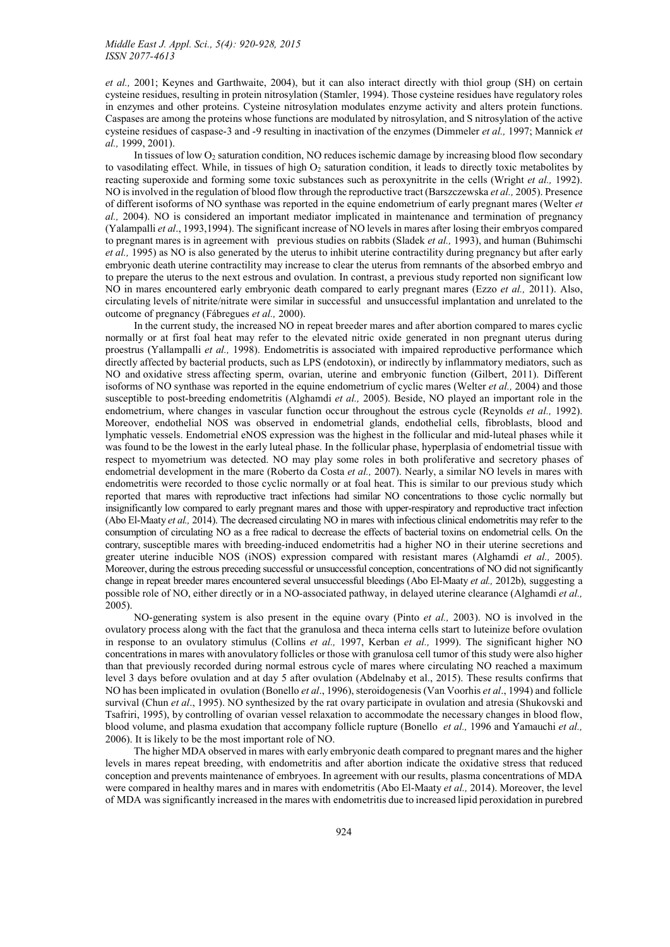*et al.,* 2001; Keynes and Garthwaite, 2004), but it can also interact directly with thiol group (SH) on certain cysteine residues, resulting in protein nitrosylation (Stamler, 1994). Those cysteine residues have regulatory roles in enzymes and other proteins. Cysteine nitrosylation modulates enzyme activity and alters protein functions. Caspases are among the proteins whose functions are modulated by nitrosylation, and S nitrosylation of the active cysteine residues of caspase-3 and -9 resulting in inactivation of the enzymes (Dimmeler *et al.,* 1997; Mannick *et al.,* 1999, 2001).

In tissues of low  $O<sub>2</sub>$  saturation condition. NO reduces ischemic damage by increasing blood flow secondary to vasodilating effect. While, in tissues of high  $O<sub>2</sub>$  saturation condition, it leads to directly toxic metabolites by reacting superoxide and forming some toxic substances such as peroxynitrite in the cells (Wright *et al.,* 1992). NO is involved in the regulation of blood flow through the reproductive tract (Barszczewska *et al.,* 2005). Presence of different isoforms of NO synthase was reported in the equine endometrium of early pregnant mares (Welter *et al.,* 2004). NO is considered an important mediator implicated in maintenance and termination of pregnancy (Yalampalli *et al*., 1993,1994). The significant increase of NO levels in mares after losing their embryos compared to pregnant mares is in agreement with previous studies on rabbits (Sladek *et al.,* 1993), and human (Buhimschi *et al.,* 1995) as NO is also generated by the uterus to inhibit uterine contractility during pregnancy but after early embryonic death uterine contractility may increase to clear the uterus from remnants of the absorbed embryo and to prepare the uterus to the next estrous and ovulation. In contrast, a previous study reported non significant low NO in mares encountered early embryonic death compared to early pregnant mares (Ezzo *et al.,* 2011). Also, circulating levels of nitrite/nitrate were similar in successful and unsuccessful implantation and unrelated to the outcome of pregnancy (Fábregues *et al.,* 2000).

In the current study, the increased NO in repeat breeder mares and after abortion compared to mares cyclic normally or at first foal heat may refer to the elevated nitric oxide generated in non pregnant uterus during proestrus (Yallampalli *et al.,* 1998). Endometritis is associated with impaired reproductive performance which directly affected by bacterial products, such as LPS (endotoxin), or indirectly by inflammatory mediators, such as NO and oxidative stress affecting sperm, ovarian, uterine and embryonic function (Gilbert, 2011). Different isoforms of NO synthase was reported in the equine endometrium of cyclic mares (Welter *et al.,* 2004) and those susceptible to post-breeding endometritis (Alghamdi *et al.,* 2005). Beside, NO played an important role in the endometrium, where changes in vascular function occur throughout the estrous cycle (Reynolds *et al.,* 1992). Moreover, endothelial NOS was observed in endometrial glands, endothelial cells, fibroblasts, blood and lymphatic vessels. Endometrial eNOS expression was the highest in the follicular and mid-luteal phases while it was found to be the lowest in the early luteal phase. In the follicular phase, hyperplasia of endometrial tissue with respect to myometrium was detected. NO may play some roles in both proliferative and secretory phases of endometrial development in the mare (Roberto da Costa *et al.,* 2007). Nearly, a similar NO levels in mares with endometritis were recorded to those cyclic normally or at foal heat. This is similar to our previous study which reported that mares with reproductive tract infections had similar NO concentrations to those cyclic normally but insignificantly low compared to early pregnant mares and those with upper-respiratory and reproductive tract infection (Abo El-Maaty *et al.,* 2014). The decreased circulating NO in mares with infectious clinical endometritis may refer to the consumption of circulating NO as a free radical to decrease the effects of bacterial toxins on endometrial cells. On the contrary, susceptible mares with breeding-induced endometritis had a higher NO in their uterine secretions and greater uterine inducible NOS (iNOS) expression compared with resistant mares (Alghamdi *et al.,* 2005). Moreover, during the estrous preceding successful or unsuccessful conception, concentrations of NO did not significantly change in repeat breeder mares encountered several unsuccessful bleedings (Abo El-Maaty *et al.,* 2012b), suggesting a possible role of NO, either directly or in a NO-associated pathway, in delayed uterine clearance (Alghamdi *et al.,* 2005).

NO-generating system is also present in the equine ovary (Pinto *et al.,* 2003). NO is involved in the ovulatory process along with the fact that the granulosa and theca interna cells start to luteinize before ovulation in response to an ovulatory stimulus (Collins *et al.,* 1997, Kerban *et al.,* 1999). The significant higher NO concentrations in mares with anovulatory follicles or those with granulosa cell tumor of this study were also higher than that previously recorded during normal estrous cycle of mares where circulating NO reached a maximum level 3 days before ovulation and at day 5 after ovulation (Abdelnaby et al., 2015). These results confirms that NO has been implicated in ovulation (Bonello *et al*., 1996), steroidogenesis (Van Voorhis *et al*., 1994) and follicle survival (Chun *et al*., 1995). NO synthesized by the rat ovary participate in ovulation and atresia (Shukovski and Tsafriri, 1995), by controlling of ovarian vessel relaxation to accommodate the necessary changes in blood flow, blood volume, and plasma exudation that accompany follicle rupture (Bonello *et al.,* 1996 and Yamauchi *et al.,* 2006). It is likely to be the most important role of NO.

The higher MDA observed in mares with early embryonic death compared to pregnant mares and the higher levels in mares repeat breeding, with endometritis and after abortion indicate the oxidative stress that reduced conception and prevents maintenance of embryoes. In agreement with our results, plasma concentrations of MDA were compared in healthy mares and in mares with endometritis (Abo El-Maaty *et al.,* 2014). Moreover, the level of MDA was significantly increased in the mares with endometritis due to increased lipid peroxidation in purebred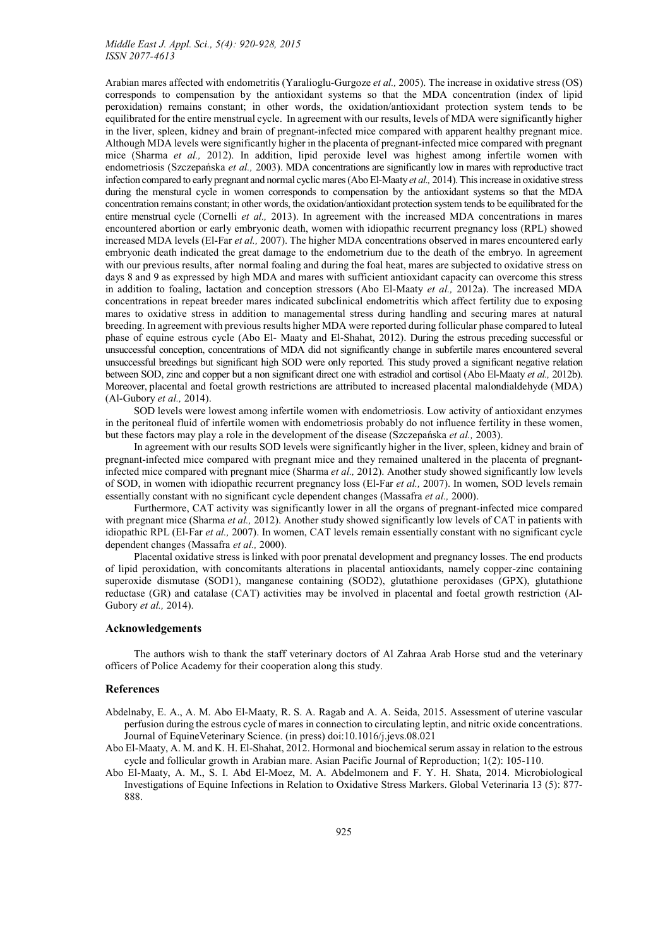Arabian mares affected with endometritis (Yaralioglu-Gurgoze *et al.,* 2005). The increase in oxidative stress (OS) corresponds to compensation by the antioxidant systems so that the MDA concentration (index of lipid peroxidation) remains constant; in other words, the oxidation/antioxidant protection system tends to be equilibrated for the entire menstrual cycle. In agreement with our results, levels of MDA were significantly higher in the liver, spleen, kidney and brain of pregnant-infected mice compared with apparent healthy pregnant mice. Although MDA levels were significantly higher in the placenta of pregnant-infected mice compared with pregnant mice (Sharma *et al.,* 2012). In addition, lipid peroxide level was highest among infertile women with endometriosis (Szczepańska *et al.,* 2003). MDA concentrations are significantly low in mares with reproductive tract infection compared to early pregnant and normal cyclic mares (Abo El-Maaty *et al.,* 2014). This increase in oxidative stress during the menstural cycle in women corresponds to compensation by the antioxidant systems so that the MDA concentration remains constant; in other words, the oxidation/antioxidant protection system tends to be equilibrated for the entire menstrual cycle (Cornelli *et al.,* 2013). In agreement with the increased MDA concentrations in mares encountered abort[ion or ea](http://www.ncbi.nlm.nih.gov/pubmed/?term=Cornelli%20U%5Bauth%5D)rly embryonic death, women with idiopathic recurrent pregnancy loss (RPL) showed increased MDA levels (El-Far *et al.,* 2007). The higher MDA concentrations observed in mares encountered early embryonic death indicated the great damage to the endometrium due to the death of the embryo. In agreement with our previous results, after normal foaling and during the foal heat, mares are subjected to oxidative stress on days 8 and 9 as expressed by high MDA and mares with sufficient antioxidant capacity can overcome this stress in addition to foaling, lactation and conception stressors (Abo El-Maaty *et al.,* 2012a). The increased MDA concentrations in repeat breeder mares indicated subclinical endometritis which affect fertility due to exposing mares to oxidative stress in addition to managemental stress during handling and securing mares at natural breeding. In agreement with previous results higher MDA were reported during follicular phase compared to luteal phase of equine estrous cycle (Abo El- Maaty and El-Shahat, 2012). During the estrous preceding successful or unsuccessful conception, concentrations of MDA did not significantly change in subfertile mares encountered several unsuccessful breedings but significant high SOD were only reported. This study proved a significant negative relation between SOD, zinc and copper but a non significant direct one with estradiol and cortisol (Abo El-Maaty *et al.,* 2012b). Moreover, placental and foetal growth restrictions are attributed to increased placental malondialdehyde (MDA) (Al-Gubory *et al.,* 2014).

SOD levels were lowest among infertile women with endometriosis. Low activity of antioxidant enzymes in the peritoneal fluid of infertile women with endometriosis probably do not influence fertility in these women, but these factors may play a role in the development of the disease (Szczepańska *et al.,* 2003).

In agreement with our results SOD levels were significantly higher in the liver, spleen, kidney and brain of pregnant-infected mice compared with pregnant mice and they remained unaltered in the placenta of pregnantinfected mice compared with pregnant mice (Sharma *et al.,* 2012). Another study showed significantly low levels of SOD, in women with idiopathic recurrent pregnancy loss (El-Far *et al.,* 2007). In women, SOD levels remain essentially constant with no significant cycle dependent changes (Massafra *et al.,* 2000).

Furthermore, CAT activity was significantly lower in all the organs of pregnant-infected mice compared with pregnant mice (Sharma *et al.*, 2012). Another study showed significantly low levels of CAT in patients with idiopathic RPL (El-Far *et al.,* 2007). In women, CAT levels remain essentially constant with no significant cycle dependent changes (Massafra *et al.,* 2000).

Placental oxidative stress is linked with poor prenatal development and pregnancy losses. The end products of lipid peroxidation, with concomitants alterations in placental antioxidants, namely copper-zinc containing superoxide dismutase (SOD1), manganese containing (SOD2), glutathione peroxidases (GPX), glutathione reductase (GR) and catalase (CAT) activities may be involved in placental and foetal growth restriction (Al-Gubory *et al.,* 2014).

### Acknowledgements

The authors wish to thank the staff veterinary doctors of Al Zahraa Arab Horse stud and the veterinary officers of Police Academy for their cooperation along this study.

## References

- Abdelnaby, E. A., A. M. Abo El-Maaty, R. S. A. Ragab and A. A. Seida, 2015. Assessment of uterine vascular perfusion during the estrous cycle of mares in connection to circulating leptin, and nitric oxide concentrations. Journal of EquineVeterinary Science. (in press) doi:10.1016/j.jevs.08.021
- Abo El-Maaty, A. M. and K. H. El-Shahat, 2012. Hormonal and biochemical serum assay in relation to the estrous cycle and follicular growth in Arabian mare. Asian Pacific Journal of Reproduction; 1(2): 105-110.
- Abo El-Maaty, A. M., S. I. Abd El-Moez, M. A. Abdelmonem and F. Y. H. Shata, 2014. Microbiological Investigations of Equine Infections in Relati[on to Oxidative Stress Mark](http://dx.doi.org/10.1016/j.jevs.2015.08.021)ers. Global Veterinaria 13 (5): 877- 888.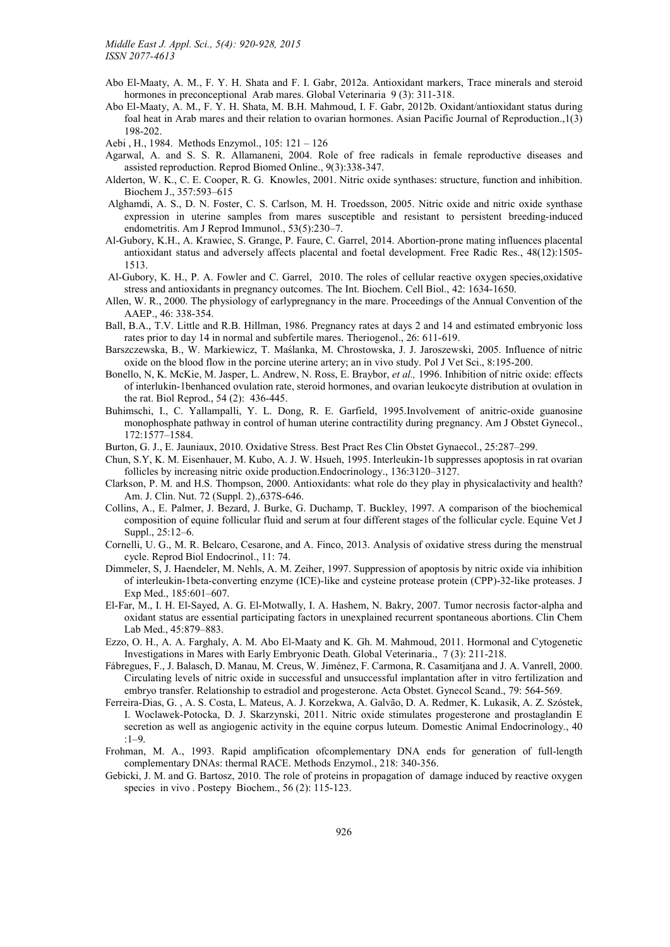- Abo El-Maaty, A. M., F. Y. H. Shata and F. I. Gabr, 2012a. Antioxidant markers, Trace minerals and steroid hormones in preconceptional Arab mares. Global Veterinaria 9 (3): 311-318.
- Abo El-Maaty, A. M., F. Y. H. Shata, M. B.H. Mahmoud, I. F. Gabr, 2012b. Oxidant/antioxidant status during foal heat in Arab mares and their relation to ovarian hormones. Asian Pacific Journal of Reproduction.,1(3) 198-202.
- Aebi , H., 1984. Methods Enzymol., 105: 121 126
- Agarwal, A. and S. S. R. Allamaneni, 2004. Role of free radicals in female reproductive diseases and assisted reproduction. Reprod Biomed Online., 9(3):338-347.
- Alderton, W. K., C. E. Cooper, R. G. Knowles, 2001. Nitric oxide synthases: structure, function and inhibition. Biochem J., 357:593–615
- Alghamdi, A. S., D. N. Foster, C. S. Carlson, M. H. Troedsson, 2005. Nitric oxide and nitric oxide synthase expression in uterine samples from mares susceptible and resistant to persistent breeding-induced endometritis. Am J Reprod Immunol., 53(5):230–7.
- Al-Gubory, K.H., A. Krawiec, S. Grange, P. Faure, C. Garrel, 2014. Abortion-prone mating influences placental [antioxid](http://www.ncbi.nlm.nih.gov/pubmed/?term=Al-Gubory%20KH%5BAuthor%5D&cauthor=true&cauthor_uid=25263566)ant status and adversely aff[ects pla](http://www.ncbi.nlm.nih.gov/pubmed/?term=Faure%20P%5BAuthor%5D&cauthor=true&cauthor_uid=25263566)cental and foetal development. Free Radic Res., 48(12):1505- 1513.
- Al-Gubory, K. H., P. A. Fowler and C. Garrel, 2010. The roles of cellular re[active oxygen spe](http://www.ncbi.nlm.nih.gov/pubmed)cies,oxidative stress and antioxidants in pregnancy outcomes. The Int. Biochem. Cell Biol., 42: 1634-1650.
- Allen, W. R., 2000. The physiology of earlypregnancy in the mare. Proceedings of the Annual Convention of the AAEP., 46: 338-354.
- Ball, B.A., T.V. Little and R.B. Hillman, 1986. Pregnancy rates at days 2 and 14 and estimated embryonic loss rates prior to day 14 in normal and subfertile mares. Theriogenol., 26: 611-619.
- Barszczewska, B., W. Markiewicz, T. Maślanka, M. Chrostowska, J. J. Jaroszewski, 2005. Influence of nitric oxide on the blood flow in the porcine uterine artery; an in vivo study. Pol J Vet Sci., 8:195-200.
- [Bonello,](http://www.ncbi.nlm.nih.gov/pubmed/?term=Barszczewska%20B%5BAuthor%5D&cauthor=true&cauthor_uid=16180580) N, K. Mc[Kie, M. Jaspe](http://www.ncbi.nlm.nih.gov/pubmed/?term=Markiewicz%20W%5BAuthor%5D&cauthor=true&cauthor_uid=16180580)r, L. [Andrew,](http://www.ncbi.nlm.nih.gov/pubmed/?term=Ma%C5%9Blanka%20T%5BAuthor%5D&cauthor=true&cauthor_uid=16180580) N. Ross, E. [Braybor](http://www.ncbi.nlm.nih.gov/pubmed/?term=Chrostowska%20M%5BAuthor%5D&cauthor=true&cauthor_uid=16180580), *et al.,* 1996. Inhibition of [nitric oxide: effects](http://www.ncbi.nlm.nih.gov/pubmed/16180580)  [of interlukin-1benhanced ovulation rate, steroid hormones, and ovari](http://www.ncbi.nlm.nih.gov/pubmed/16180580)a[n leukocyte di](http://www.ncbi.nlm.nih.gov/pubmed)stribution at ovulation in the rat. Biol Reprod., 54 (2): 436-445.
- Buhimschi, I., C. Yallampalli, Y. L. Dong, R. E. Garfield, 1995.Involvement of anitric-oxide guanosine monophosphate pathway in control of human uterine contractility during pregnancy. Am J Obstet Gynecol., 172:1577–1584.
- Burton, G. J., E. Jauniaux, 2010. Oxidative Stress. Best Pract Res Clin Obstet Gynaecol., 25:287–299.
- Chun, S.Y, K. M. Eisenhauer, M. Kubo, A. J. W. Hsueh, 1995. Interleukin-1b suppresses apoptosis in rat ovarian follicles by increasing nitric oxide production.Endocrinology., 136:3120–3127.
- Clarkson, P. M. and H.S. Thompson, 2000. Antioxidants: what role do they play in physicalactivity and health? Am. J. Clin. Nut. 72 (Suppl. 2).,637S-646.
- Collins, A., E. Palmer, J. Bezard, J. Burke, G. Duchamp, T. Buckley, 1997. A comparison of the biochemical composition of equine follicular fluid and serum at four different stages of the follicular cycle. Equine Vet J Suppl., 25:12–6.
- Cornelli, U. G., M. R. Belcaro, Cesarone, and A. Finco, 2013. Analysis of oxidative stress during the menstrual cycle. Reprod Biol Endocrinol., 11: 74.
- [Dim](http://www.ncbi.nlm.nih.gov/pubmed/?term=Cornelli%20U%5Bauth%5D)meler, S, J. Haendeler, M. Nehls, A. M. Zeiher, 1997. Suppression of apoptosis by nitric oxide via inhibition of [interleukin-1beta-c](http://www.ncbi.nlm.nih.gov/pubmed/?term=Belcaro%20G%5Bauth%5D)[onverting en](http://www.ncbi.nlm.nih.gov/pubmed/?term=Cesarone%20MR%5Bauth%5D)zym[e \(ICE\)-li](http://www.ncbi.nlm.nih.gov/pubmed/?term=Finco%20A%5Bauth%5D)ke and cysteine protease protein (CPP)-32-like proteases. J Exp Med., 185:601–607.
- El-Far, M., I. H. El-Sayed, A. G. El-Motwally, I. A. Hashem, N. Bakry, 2007. Tumor necrosis factor-alpha and oxidant status are essential participating factors in unexplained recurrent spontaneous abortions. Clin Chem Lab Med., 45:879–883.
- Ezzo, O. H., A. A. Farghaly, A. M. Abo El-Maaty and K. Gh. M. Mahmoud, 2011. Hormonal and Cytogenetic Investigations in Mares with Early Embryonic Death. Global Veterinaria., 7 (3): 211-218.
- Fábregues, F., J. Balasch, D. Manau, M. Creus, W. Jiménez, F. Carmona, R. Casamitjana and J. A. Vanrell, 2000. Circulating levels of nitric oxide in successful and unsuccessful implantation after in vitro fertilization and embryo transfer. Relationship to estradiol and progesterone. Acta Obstet. Gynecol Scand., 79: 564-569.
- Ferreira-Dias, G. , A. S. Costa, L. Mateus, A. J. Korzekwa, A. Galvão, D. A. Redmer, K. Lukasik, A. Z. Szóstek, I. Woclawek-Potocka, D. J. Skarzynski, 2011. Nitric oxide stimulates progesterone and prostaglandin E secretion as well as angiogenic activity in the equine corpus luteum. Domestic Animal Endocrinology., 40 :1–9.
- Frohman, M. A., 1993. Rapid amplification ofcomplementary DNA ends for generation of full-length complementary DNAs: thermal RACE. Methods Enzymol., 218: 340-356.
- Gebicki, J. M. and G. Bartosz, 2010. The role of proteins in propagation of damage induced by reactive oxygen species in vivo . Postepy Biochem., 56 (2): 115-123.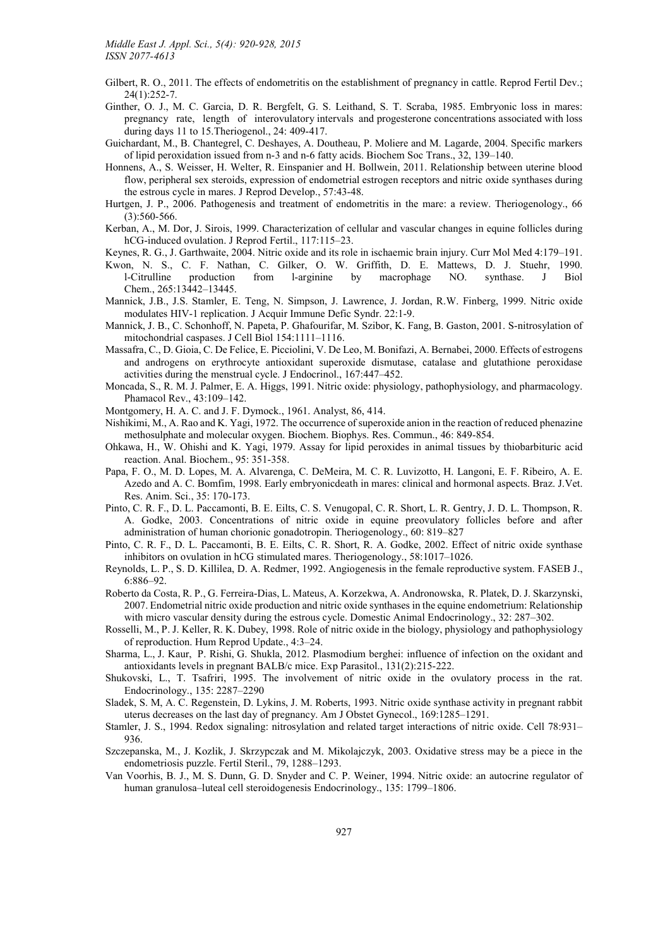- [Gilbert,](http://www.ncbi.nlm.nih.gov/pubmed/?term=Gilbert%20RO%5BAuthor%5D&cauthor=true&cauthor_uid=22394966) R. O., 2011. The effects of endometritis [on the establishment of pregnancy in cattle.](http://www.ncbi.nlm.nih.gov/pubmed/22394966) Reprod Fertil Dev.; 24(1):252-7.
- Ginther, O. J., M. C. Garcia, D. R. Bergfelt, G. S. Leithand, S. T. Scraba, 1985. Embryonic loss in mares: pregnancy rate, length of interovulatory intervals and progesterone concentrations associated with loss during days 11 to 15.Theriogenol., 24: 409-417.
- Guichardant, M., B. Chantegrel, C. Deshayes, A. Doutheau, P. Moliere and M. Lagarde, 2004. Specific markers of lipid peroxidation issued from n-3 and n-6 fatty acids. Biochem Soc Trans., 32, 139–140.
- Honnens, A., S. Weisser, H. Welter, R. Einspanier and H. Bollwein, 2011. Relationship between uterine blood flow, peripheral sex steroids, expression of endometrial estrogen receptors and nitric oxide synthases during the estrous cycle in mares. J Reprod Develop., 57:43-48.
- Hurtgen, J. P., 2006. Pathogenesis and treatment of endometritis in the mare: a review. Theriogenology., 66 [\(3\):5](http://www.ncbi.nlm.nih.gov/pubmed?term=Hurtgen%20JP%5BAuthor%5D&cauthor=true&cauthor_uid=16824588)60-566.
- Kerban, A., M. Dor, J. Sirois, 1999. Characterization of cellular and vascular changes in equine follicles during hCG-induced ovulation. J Reprod Fertil., 117:115–23.
- Keynes, R. G., J. Garthwaite, 2004. Nitric oxide and its role in ischaemic brain injury. Curr Mol Med 4:179–191.
- Kwon, N. S., C. F. Nathan, C. Gilker, O. W. Griffith, D. E. Mattews, D. J. Stuehr, 1990. l-Citrulline production from l-arginine by macrophage NO. synthase. J Biol Chem., 265:13442–13445.
- Mannick, J.B., J.S. Stamler, E. Teng, N. Simpson, J. Lawrence, J. Jordan, R.W. Finberg, 1999. Nitric oxide modulates HIV-1 replication. J Acquir Immune Defic Syndr. 22:1-9.
- Mannick, J. B., C. Schonhoff, N. Papeta, P. Ghafourifar, M. Szibor, K. Fang, B. Gaston, 2001. S-nit[rosylation of](http://www.ncbi.nlm.nih.gov/pubmed/10534141)  [mitochondrial caspases. J](http://www.ncbi.nlm.nih.gov/pubmed/10534141) Cell Biol 154:1111–1116.
- Massafra, C., D. Gioia, C. De Felice, E. Picciolini, V. De Leo, M. Bonifazi, A. Bernabei, 2000. Effects of estrogens and androgens on erythrocyte antioxidant superoxide dismutase, catalase and glutathione peroxidase activities during the menstrual cycle. J Endocrinol., 167:447–452.
- Moncada, S., R. M. J. Palmer, E. A. Higgs, 1991. Nitric oxide: physiology, pathophysiology, and pharmacology. Phamacol Rev., 43:109–142.
- Montgomery, H. A. C. and J. F. Dymock., 1961. Analyst, 86, 414.
- Nishikimi, M., A. Rao and K. Yagi, 1972. The occurrence of superoxide anion in the reaction of reduced phenazine methosulphate and molecular oxygen. Biochem. Biophys. Res. Commun., 46: 849-854.
- Ohkawa, H., W. Ohishi and K. Yagi, 1979. Assay for lipid peroxides in animal tissues by thiobarbituric acid reaction. Anal. Biochem., 95: 351-358.
- Papa, F. O., M. D. Lopes, M. A. Alvarenga, C. DeMeira, M. C. R. Luvizotto, H. Langoni, E. F. Ribeiro, A. E. Azedo and A. C. Bomfim, 1998. Early embryonicdeath in mares: clinical and hormonal aspects. Braz. J.Vet. Res. Anim. Sci., 35: 170-173.
- Pinto, C. R. F., D. L. Paccamonti, B. E. Eilts, C. S. Venugopal, C. R. Short, L. R. Gentry, J. D. L. Thompson, R. A. Godke, 2003. Concentrations of nitric oxide in equine preovulatory follicles before and after administration of human chorionic gonadotropin. Theriogenology., 60: 819–827
- Pinto, C. R. F., D. L. Paccamonti, B. E. Eilts, C. R. Short, R. A. Godke, 2002. Effect of nitric oxide synthase inhibitors on ovulation in hCG stimulated mares. Theriogenology., 58:1017–1026.
- Reynolds, L. P., S. D. Killilea, D. A. Redmer, 1992. Angiogenesis in the female reproductive system. FASEB J., 6:886–92.
- Roberto da Costa, R. P., G. Ferreira-Dias, L. Mateus, A. Korzekwa, A. Andronowska, R. Platek, D. J. Skarzynski, 2007. Endometrial nitric oxide production and nitric oxide synthases in the equine endometrium: Relationship with micro vascular density during the estrous cycle. Domestic Animal Endocrinology., 32: 287–302.
- Rosselli, M., P. J. Keller, R. K. Dubey, 1998. Role of nitric oxide in the biology, physiology and pathophysiology of reproduction. Hum Reprod Update., 4:3–24.
- Sharma, L., J. Kaur, P. Rishi, G. Shukla, 2012. Plasmodium berghei: influence of infection on the oxidant and antioxidants levels in pregnant BALB/c mice. Exp Parasitol., 131(2):215-222.
- Shukovski, L., T. Tsafriri, 1995. The involvement of nitric oxide in the ovulatory process in the rat. Endo[crinol](http://www.ncbi.nlm.nih.gov/pubmed/?term=Kaur%20J%5BAuthor%5D&cauthor=true&cauthor_uid=22542801)ogy., [135:](http://www.ncbi.nlm.nih.gov/pubmed/?term=Rishi%20P%5BAuthor%5D&cauthor=true&cauthor_uid=22542801) 228[7–2290](http://www.ncbi.nlm.nih.gov/pubmed/?term=Shukla%20G%5BAuthor%5D&cauthor=true&cauthor_uid=22542801)
- [Slade](http://www.ncbi.nlm.nih.gov/pubmed/?term=Sharma%20L%5BAuthor%5D&cauthor=true&cauthor_uid=22542801)k, S. M, A. C. Regenstein, D. Lykins, J. [M. Roberts, 1993. Nitric oxide synthase activity in](http://www.ncbi.nlm.nih.gov/pubmed/22542801) pregnant rabbit [uterus decreases on the last day of pregnan](http://www.ncbi.nlm.nih.gov/pubmed/22542801)[cy. Am J Obstet](http://www.ncbi.nlm.nih.gov/pubmed) Gynecol., 169:1285–1291.
- Stamler, J. S., 1994. Redox signaling: nitrosylation and related target interactions of nitric oxide. Cell 78:931– 936.
- Szczepanska, M., J. Kozlik, J. Skrzypczak and M. Mikolajczyk, 2003. Oxidative stress may be a piece in the endometriosis puzzle. Fertil Steril., 79, 1288–1293.
- Van Voorhis, B. J., M. S. Dunn, G. D. Snyder and C. P. Weiner, 1994. Nitric oxide: an autocrine regulator of human granulosa–luteal cell steroidogenesis Endocrinology., 135: 1799–1806.